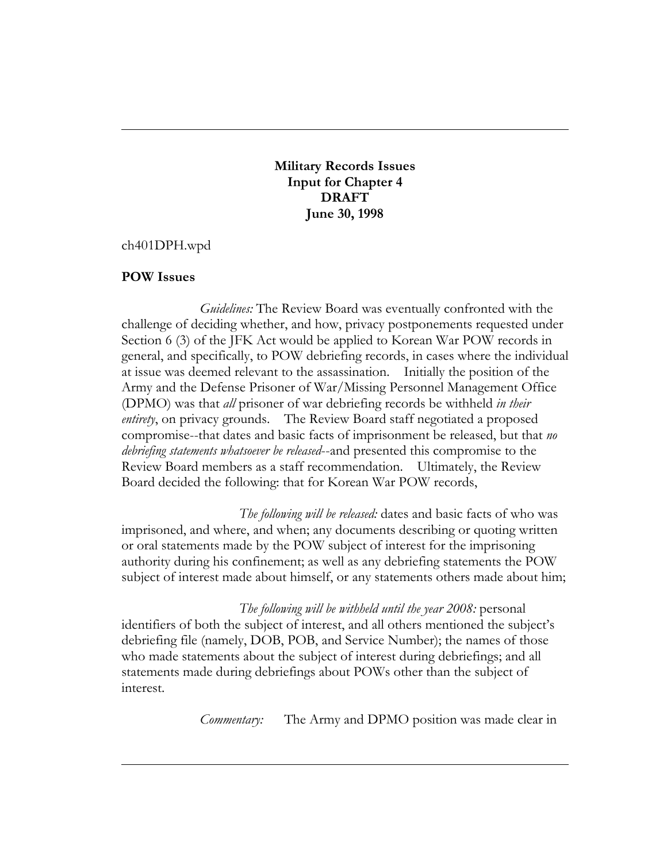**Military Records Issues Input for Chapter 4 DRAFT June 30, 1998**

ch401DPH.wpd

## **POW Issues**

*Guidelines:* The Review Board was eventually confronted with the challenge of deciding whether, and how, privacy postponements requested under Section 6 (3) of the JFK Act would be applied to Korean War POW records in general, and specifically, to POW debriefing records, in cases where the individual at issue was deemed relevant to the assassination. Initially the position of the Army and the Defense Prisoner of War/Missing Personnel Management Office (DPMO) was that *all* prisoner of war debriefing records be withheld *in their entirety*, on privacy grounds. The Review Board staff negotiated a proposed compromise--that dates and basic facts of imprisonment be released, but that *no debriefing statements whatsoever be released*--and presented this compromise to the Review Board members as a staff recommendation. Ultimately, the Review Board decided the following: that for Korean War POW records,

*The following will be released:* dates and basic facts of who was imprisoned, and where, and when; any documents describing or quoting written or oral statements made by the POW subject of interest for the imprisoning authority during his confinement; as well as any debriefing statements the POW subject of interest made about himself, or any statements others made about him;

*The following will be withheld until the year 2008:* personal identifiers of both the subject of interest, and all others mentioned the subject's debriefing file (namely, DOB, POB, and Service Number); the names of those who made statements about the subject of interest during debriefings; and all statements made during debriefings about POWs other than the subject of interest.

*Commentary:* The Army and DPMO position was made clear in